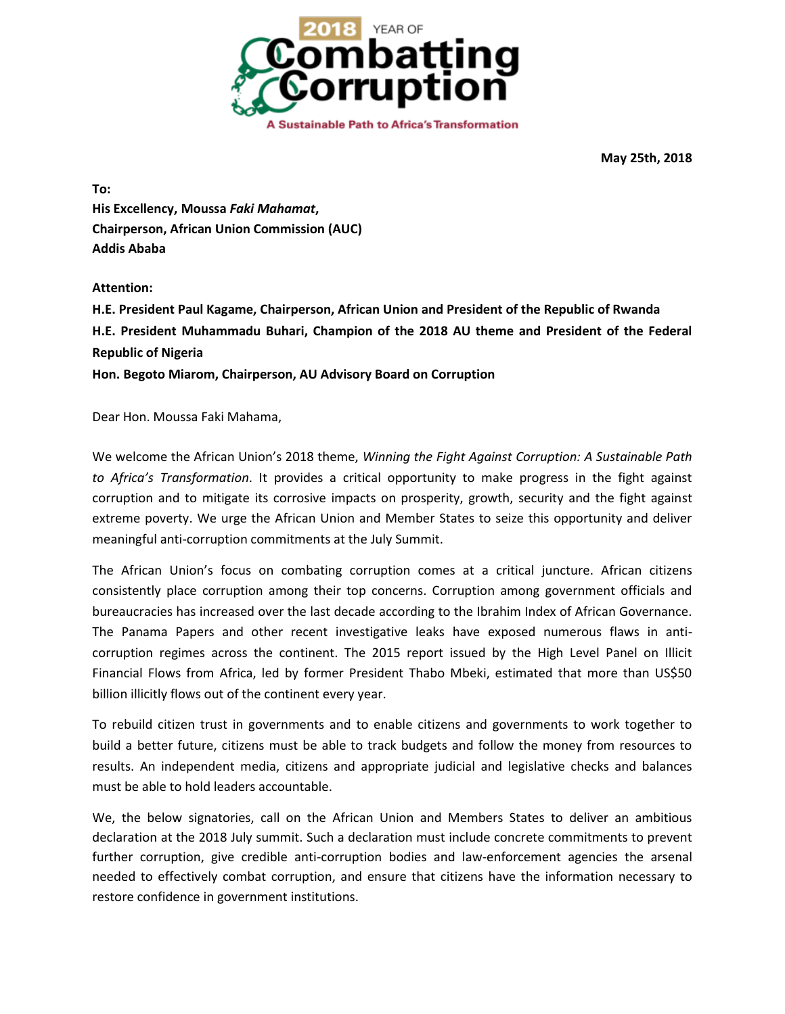

**May 25th, 2018**

**To: His Excellency, Moussa** *Faki Mahamat***, Chairperson, African Union Commission (AUC) Addis Ababa**

### **Attention:**

**H.E. President Paul Kagame, Chairperson, African Union and President of the Republic of Rwanda H.E. President Muhammadu Buhari, Champion of the 2018 AU theme and President of the Federal Republic of Nigeria Hon. Begoto Miarom, Chairperson, AU Advisory Board on Corruption**

Dear Hon. Moussa Faki Mahama,

We welcome the African Union's 2018 theme, *Winning the Fight Against Corruption: A Sustainable Path to Africa's Transformation*. It provides a critical opportunity to make progress in the fight against corruption and to mitigate its corrosive impacts on prosperity, growth, security and the fight against extreme poverty. We urge the African Union and Member States to seize this opportunity and deliver meaningful anti-corruption commitments at the July Summit.

The African Union's focus on combating corruption comes at a critical juncture. African citizens consistently place corruption among their top concerns. Corruption among government officials and bureaucracies has increased over the last decade according to the Ibrahim Index of African Governance. The Panama Papers and other recent investigative leaks have exposed numerous flaws in anticorruption regimes across the continent. The 2015 report issued by the High Level Panel on Illicit Financial Flows from Africa, led by former President Thabo Mbeki, estimated that more than US\$50 billion illicitly flows out of the continent every year.

To rebuild citizen trust in governments and to enable citizens and governments to work together to build a better future, citizens must be able to track budgets and follow the money from resources to results. An independent media, citizens and appropriate judicial and legislative checks and balances must be able to hold leaders accountable.

We, the below signatories, call on the African Union and Members States to deliver an ambitious declaration at the 2018 July summit. Such a declaration must include concrete commitments to prevent further corruption, give credible anti-corruption bodies and law-enforcement agencies the arsenal needed to effectively combat corruption, and ensure that citizens have the information necessary to restore confidence in government institutions.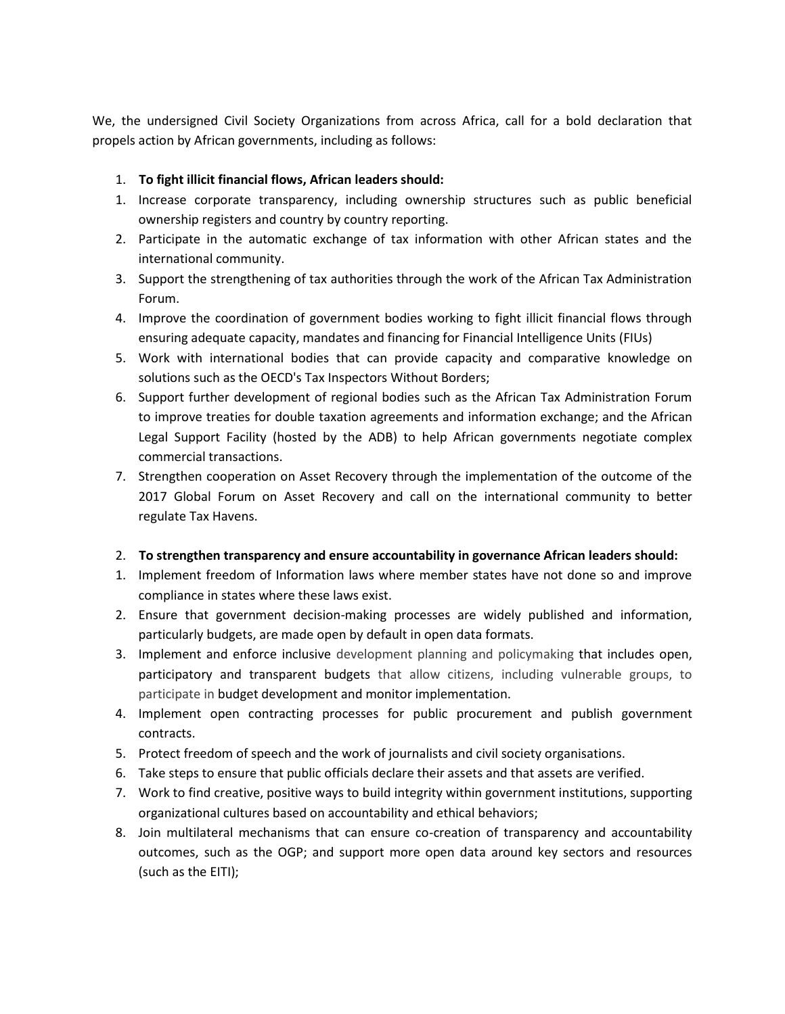We, the undersigned Civil Society Organizations from across Africa, call for a bold declaration that propels action by African governments, including as follows:

### 1. **To fight illicit financial flows, African leaders should:**

- 1. Increase corporate transparency, including ownership structures such as public beneficial ownership registers and country by country reporting.
- 2. Participate in the automatic exchange of tax information with other African states and the international community.
- 3. Support the strengthening of tax authorities through the work of the African Tax Administration Forum.
- 4. Improve the coordination of government bodies working to fight illicit financial flows through ensuring adequate capacity, mandates and financing for Financial Intelligence Units (FIUs)
- 5. Work with international bodies that can provide capacity and comparative knowledge on solutions such as the OECD's Tax Inspectors Without Borders;
- 6. Support further development of regional bodies such as the African Tax Administration Forum to improve treaties for double taxation agreements and information exchange; and the African Legal Support Facility (hosted by the ADB) to help African governments negotiate complex commercial transactions.
- 7. Strengthen cooperation on Asset Recovery through the implementation of the outcome of the 2017 Global Forum on Asset Recovery and call on the international community to better regulate Tax Havens.

#### 2. **To strengthen transparency and ensure accountability in governance African leaders should:**

- 1. Implement freedom of Information laws where member states have not done so and improve compliance in states where these laws exist.
- 2. Ensure that government decision-making processes are widely published and information, particularly budgets, are made open by default in open data formats.
- 3. Implement and enforce inclusive development planning and policymaking that includes open, participatory and transparent budgets that allow citizens, including vulnerable groups, to participate in budget development and monitor implementation.
- 4. Implement open contracting processes for public procurement and publish government contracts.
- 5. Protect freedom of speech and the work of journalists and civil society organisations.
- 6. Take steps to ensure that public officials declare their assets and that assets are verified.
- 7. Work to find creative, positive ways to build integrity within government institutions, supporting organizational cultures based on accountability and ethical behaviors;
- 8. Join multilateral mechanisms that can ensure co-creation of transparency and accountability outcomes, such as the OGP; and support more open data around key sectors and resources (such as the EITI);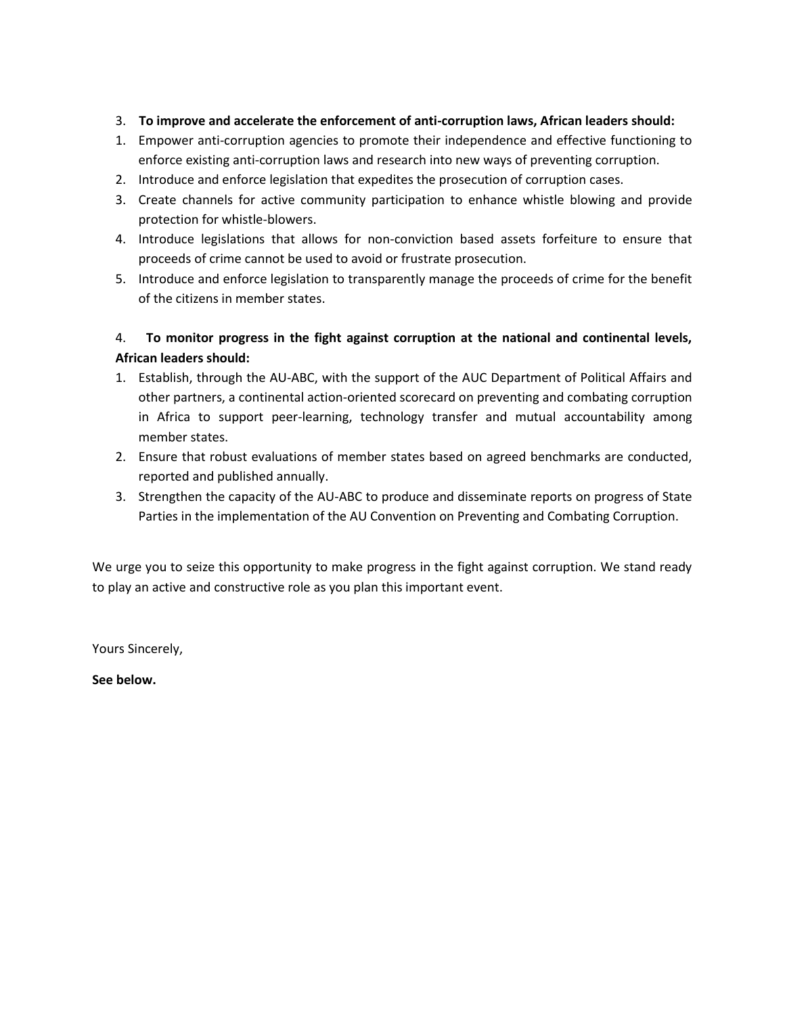## 3. **To improve and accelerate the enforcement of anti-corruption laws, African leaders should:**

- 1. Empower anti-corruption agencies to promote their independence and effective functioning to enforce existing anti-corruption laws and research into new ways of preventing corruption.
- 2. Introduce and enforce legislation that expedites the prosecution of corruption cases.
- 3. Create channels for active community participation to enhance whistle blowing and provide protection for whistle-blowers.
- 4. Introduce legislations that allows for non-conviction based assets forfeiture to ensure that proceeds of crime cannot be used to avoid or frustrate prosecution.
- 5. Introduce and enforce legislation to transparently manage the proceeds of crime for the benefit of the citizens in member states.

# 4. **To monitor progress in the fight against corruption at the national and continental levels, African leaders should:**

- 1. Establish, through the AU-ABC, with the support of the AUC Department of Political Affairs and other partners, a continental action-oriented scorecard on preventing and combating corruption in Africa to support peer-learning, technology transfer and mutual accountability among member states.
- 2. Ensure that robust evaluations of member states based on agreed benchmarks are conducted, reported and published annually.
- 3. Strengthen the capacity of the AU-ABC to produce and disseminate reports on progress of State Parties in the implementation of the AU Convention on Preventing and Combating Corruption.

We urge you to seize this opportunity to make progress in the fight against corruption. We stand ready to play an active and constructive role as you plan this important event.

Yours Sincerely,

**See below.**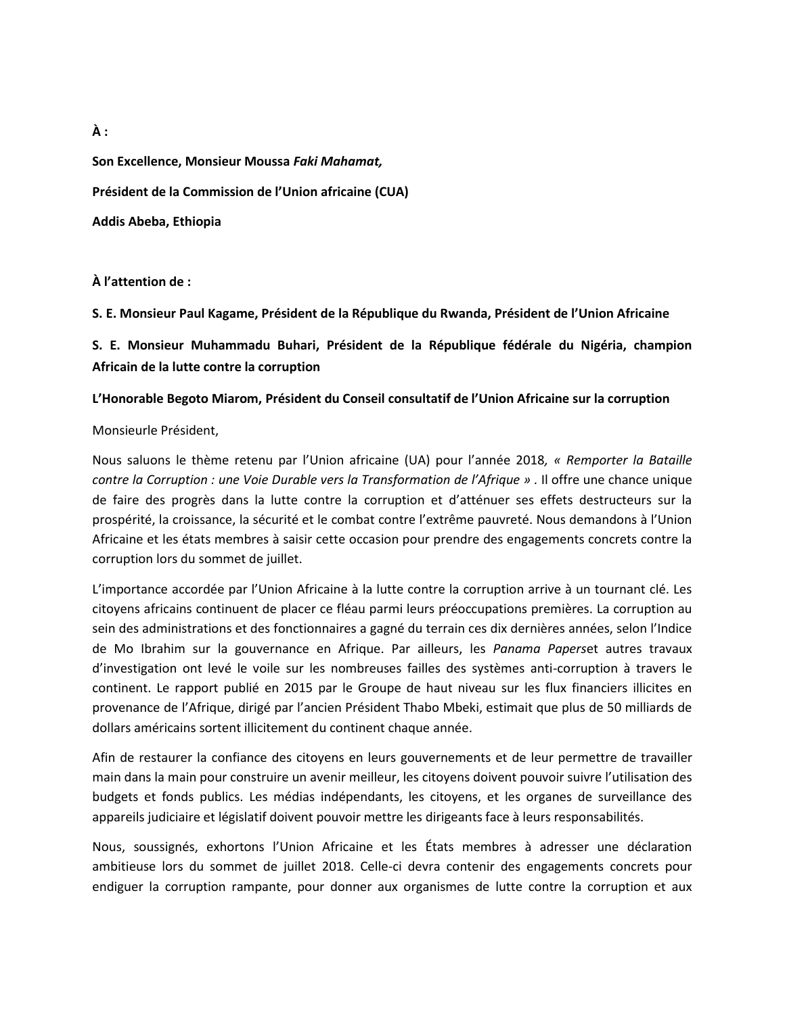**Son Excellence, Monsieur Moussa** *Faki Mahamat,* **Président de la Commission de l'Union africaine (CUA) Addis Abeba, Ethiopia**

**À l'attention de :**

**S. E. Monsieur Paul Kagame, Président de la République du Rwanda, Président de l'Union Africaine** 

**S. E. Monsieur Muhammadu Buhari, Président de la République fédérale du Nigéria, champion Africain de la lutte contre la corruption**

#### **L'Honorable Begoto Miarom, Président du Conseil consultatif de l'Union Africaine sur la corruption**

Monsieurle Président,

Nous saluons le thème retenu par l'Union africaine (UA) pour l'année 2018*, « Remporter la Bataille contre la Corruption : une Voie Durable vers la Transformation de l'Afrique » .* Il offre une chance unique de faire des progrès dans la lutte contre la corruption et d'atténuer ses effets destructeurs sur la prospérité, la croissance, la sécurité et le combat contre l'extrême pauvreté. Nous demandons à l'Union Africaine et les états membres à saisir cette occasion pour prendre des engagements concrets contre la corruption lors du sommet de juillet.

L'importance accordée par l'Union Africaine à la lutte contre la corruption arrive à un tournant clé. Les citoyens africains continuent de placer ce fléau parmi leurs préoccupations premières. La corruption au sein des administrations et des fonctionnaires a gagné du terrain ces dix dernières années, selon l'Indice de Mo Ibrahim sur la gouvernance en Afrique. Par ailleurs, les *Panama Papers*et autres travaux d'investigation ont levé le voile sur les nombreuses failles des systèmes anti-corruption à travers le continent. Le rapport publié en 2015 par le Groupe de haut niveau sur les flux financiers illicites en provenance de l'Afrique, dirigé par l'ancien Président Thabo Mbeki, estimait que plus de 50 milliards de dollars américains sortent illicitement du continent chaque année.

Afin de restaurer la confiance des citoyens en leurs gouvernements et de leur permettre de travailler main dans la main pour construire un avenir meilleur, les citoyens doivent pouvoir suivre l'utilisation des budgets et fonds publics. Les médias indépendants, les citoyens, et les organes de surveillance des appareils judiciaire et législatif doivent pouvoir mettre les dirigeants face à leurs responsabilités.

Nous, soussignés, exhortons l'Union Africaine et les États membres à adresser une déclaration ambitieuse lors du sommet de juillet 2018. Celle-ci devra contenir des engagements concrets pour endiguer la corruption rampante, pour donner aux organismes de lutte contre la corruption et aux

**À :**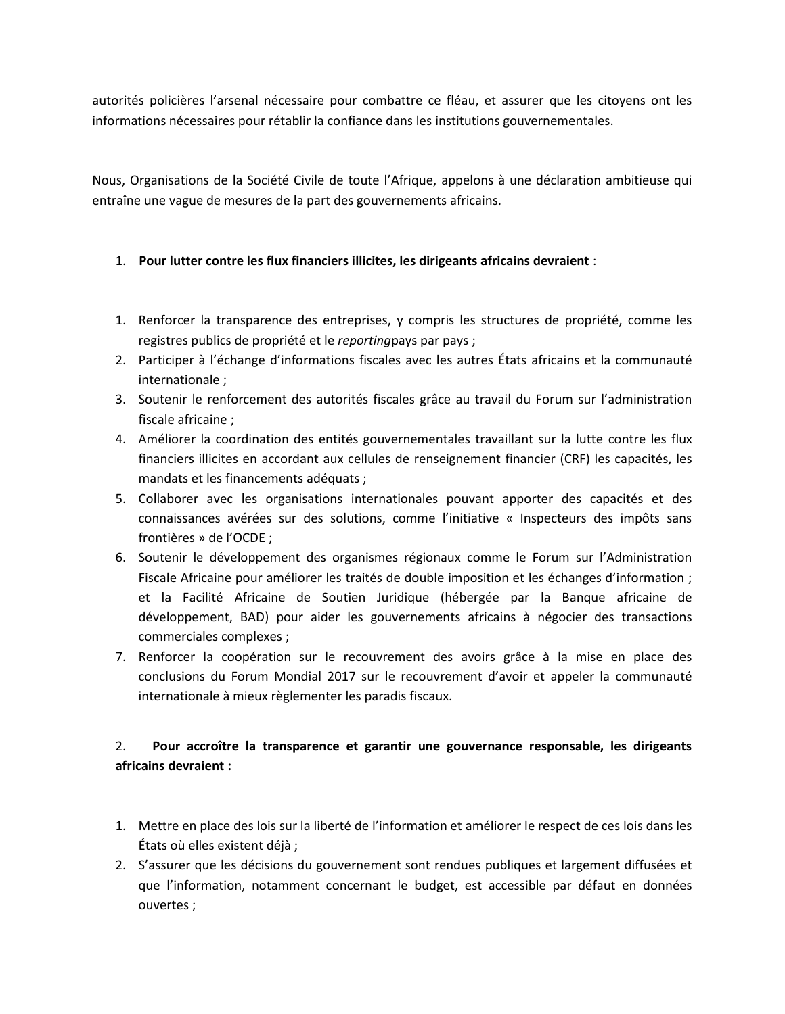autorités policières l'arsenal nécessaire pour combattre ce fléau, et assurer que les citoyens ont les informations nécessaires pour rétablir la confiance dans les institutions gouvernementales.

Nous, Organisations de la Société Civile de toute l'Afrique, appelons à une déclaration ambitieuse qui entraîne une vague de mesures de la part des gouvernements africains.

### 1. **Pour lutter contre les flux financiers illicites, les dirigeants africains devraient** :

- 1. Renforcer la transparence des entreprises, y compris les structures de propriété, comme les registres publics de propriété et le *reporting*pays par pays ;
- 2. Participer à l'échange d'informations fiscales avec les autres États africains et la communauté internationale ;
- 3. Soutenir le renforcement des autorités fiscales grâce au travail du Forum sur l'administration fiscale africaine ;
- 4. Améliorer la coordination des entités gouvernementales travaillant sur la lutte contre les flux financiers illicites en accordant aux cellules de renseignement financier (CRF) les capacités, les mandats et les financements adéquats ;
- 5. Collaborer avec les organisations internationales pouvant apporter des capacités et des connaissances avérées sur des solutions, comme l'initiative « Inspecteurs des impôts sans frontières » de l'OCDE ;
- 6. Soutenir le développement des organismes régionaux comme le Forum sur l'Administration Fiscale Africaine pour améliorer les traités de double imposition et les échanges d'information ; et la Facilité Africaine de Soutien Juridique (hébergée par la Banque africaine de développement, BAD) pour aider les gouvernements africains à négocier des transactions commerciales complexes ;
- 7. Renforcer la coopération sur le recouvrement des avoirs grâce à la mise en place des conclusions du Forum Mondial 2017 sur le recouvrement d'avoir et appeler la communauté internationale à mieux règlementer les paradis fiscaux.

## 2. **Pour accroître la transparence et garantir une gouvernance responsable, les dirigeants africains devraient :**

- 1. Mettre en place des lois sur la liberté de l'information et améliorer le respect de ces lois dans les États où elles existent déjà ;
- 2. S'assurer que les décisions du gouvernement sont rendues publiques et largement diffusées et que l'information, notamment concernant le budget, est accessible par défaut en données ouvertes ;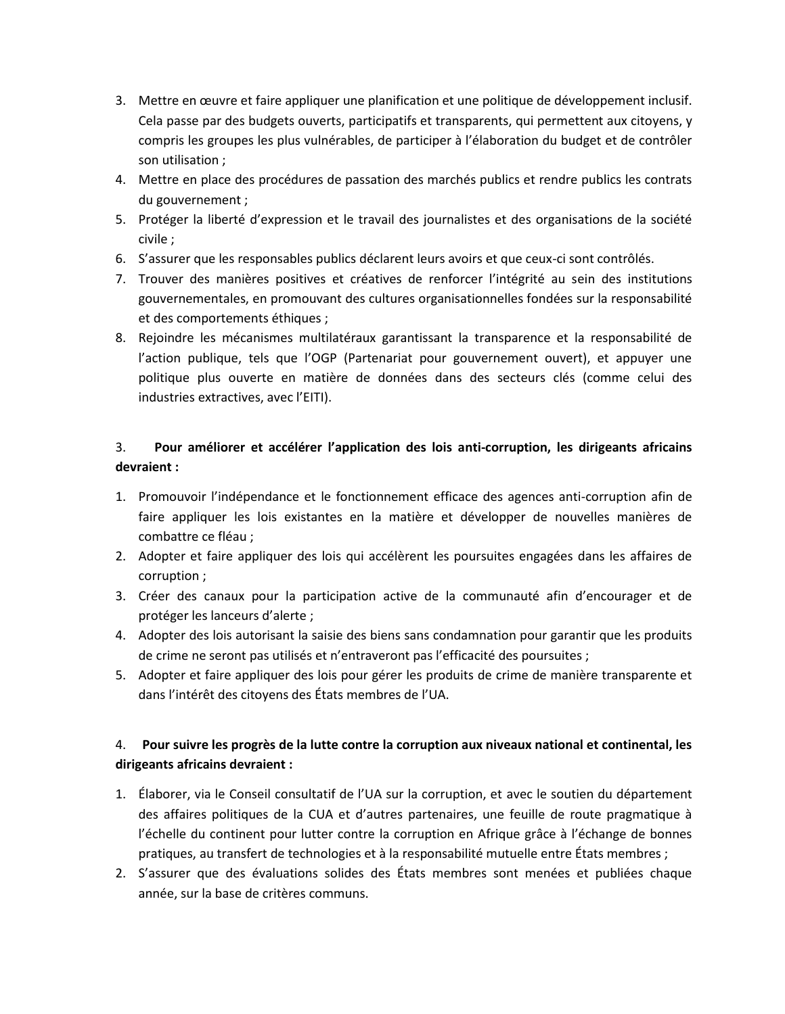- 3. Mettre en œuvre et faire appliquer une planification et une politique de développement inclusif. Cela passe par des budgets ouverts, participatifs et transparents, qui permettent aux citoyens, y compris les groupes les plus vulnérables, de participer à l'élaboration du budget et de contrôler son utilisation ;
- 4. Mettre en place des procédures de passation des marchés publics et rendre publics les contrats du gouvernement ;
- 5. Protéger la liberté d'expression et le travail des journalistes et des organisations de la société civile ;
- 6. S'assurer que les responsables publics déclarent leurs avoirs et que ceux-ci sont contrôlés.
- 7. Trouver des manières positives et créatives de renforcer l'intégrité au sein des institutions gouvernementales, en promouvant des cultures organisationnelles fondées sur la responsabilité et des comportements éthiques ;
- 8. Rejoindre les mécanismes multilatéraux garantissant la transparence et la responsabilité de l'action publique, tels que l'OGP (Partenariat pour gouvernement ouvert), et appuyer une politique plus ouverte en matière de données dans des secteurs clés (comme celui des industries extractives, avec l'EITI).

# 3. **Pour améliorer et accélérer l'application des lois anti-corruption, les dirigeants africains devraient :**

- 1. Promouvoir l'indépendance et le fonctionnement efficace des agences anti-corruption afin de faire appliquer les lois existantes en la matière et développer de nouvelles manières de combattre ce fléau ;
- 2. Adopter et faire appliquer des lois qui accélèrent les poursuites engagées dans les affaires de corruption ;
- 3. Créer des canaux pour la participation active de la communauté afin d'encourager et de protéger les lanceurs d'alerte ;
- 4. Adopter des lois autorisant la saisie des biens sans condamnation pour garantir que les produits de crime ne seront pas utilisés et n'entraveront pas l'efficacité des poursuites ;
- 5. Adopter et faire appliquer des lois pour gérer les produits de crime de manière transparente et dans l'intérêt des citoyens des États membres de l'UA.

## 4. **Pour suivre les progrès de la lutte contre la corruption aux niveaux national et continental, les dirigeants africains devraient :**

- 1. Élaborer, via le Conseil consultatif de l'UA sur la corruption, et avec le soutien du département des affaires politiques de la CUA et d'autres partenaires, une feuille de route pragmatique à l'échelle du continent pour lutter contre la corruption en Afrique grâce à l'échange de bonnes pratiques, au transfert de technologies et à la responsabilité mutuelle entre États membres ;
- 2. S'assurer que des évaluations solides des États membres sont menées et publiées chaque année, sur la base de critères communs.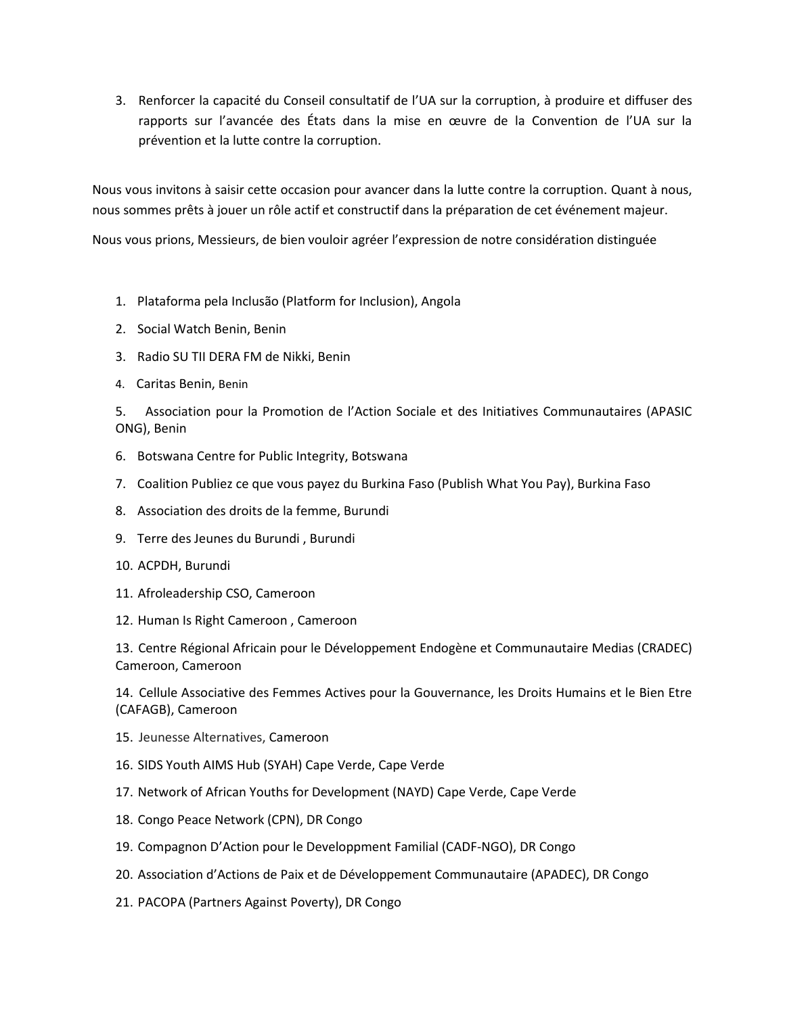3. Renforcer la capacité du Conseil consultatif de l'UA sur la corruption, à produire et diffuser des rapports sur l'avancée des États dans la mise en œuvre de la Convention de l'UA sur la prévention et la lutte contre la corruption.

Nous vous invitons à saisir cette occasion pour avancer dans la lutte contre la corruption. Quant à nous, nous sommes prêts à jouer un rôle actif et constructif dans la préparation de cet événement majeur.

Nous vous prions, Messieurs, de bien vouloir agréer l'expression de notre considération distinguée

- 1. Plataforma pela Inclusão (Platform for Inclusion), Angola
- 2. Social Watch Benin, Benin
- 3. Radio SU TII DERA FM de Nikki, Benin
- 4. Caritas Benin, Benin

5. Association pour la Promotion de l'Action Sociale et des Initiatives Communautaires (APASIC ONG), Benin

- 6. Botswana Centre for Public Integrity, Botswana
- 7. Coalition Publiez ce que vous payez du Burkina Faso (Publish What You Pay), Burkina Faso
- 8. Association des droits de la femme, Burundi
- 9. Terre des Jeunes du Burundi , Burundi
- 10. ACPDH, Burundi
- 11. Afroleadership CSO, Cameroon
- 12. Human Is Right Cameroon , Cameroon

13. Centre Régional Africain pour le Développement Endogène et Communautaire Medias (CRADEC) Cameroon, Cameroon

14. Cellule Associative des Femmes Actives pour la Gouvernance, les Droits Humains et le Bien Etre (CAFAGB), Cameroon

- 15. Jeunesse Alternatives, Cameroon
- 16. SIDS Youth AIMS Hub (SYAH) Cape Verde, Cape Verde
- 17. Network of African Youths for Development (NAYD) Cape Verde, Cape Verde
- 18. Congo Peace Network (CPN), DR Congo
- 19. Compagnon D'Action pour le Developpment Familial (CADF-NGO), DR Congo
- 20. Association d'Actions de Paix et de Développement Communautaire (APADEC), DR Congo
- 21. PACOPA (Partners Against Poverty), DR Congo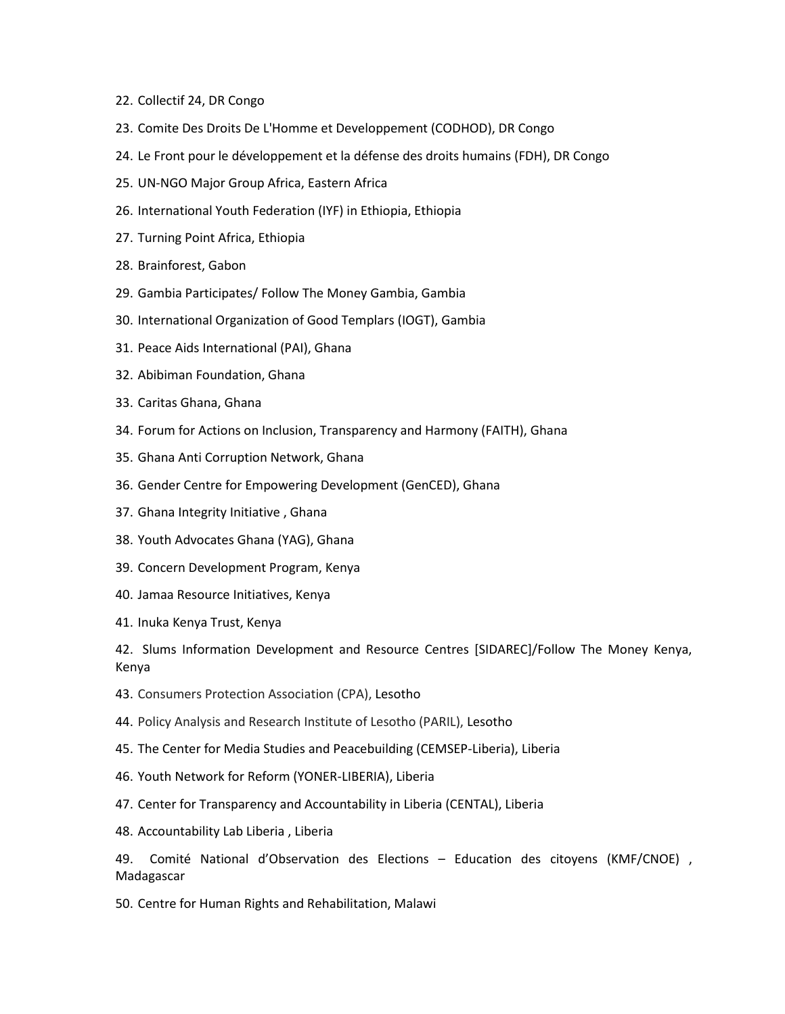- 22. Collectif 24, DR Congo
- 23. Comite Des Droits De L'Homme et Developpement (CODHOD), DR Congo
- 24. Le Front pour le développement et la défense des droits humains (FDH), DR Congo
- 25. UN-NGO Major Group Africa, Eastern Africa
- 26. International Youth Federation (IYF) in Ethiopia, Ethiopia
- 27. Turning Point Africa, Ethiopia
- 28. Brainforest, Gabon
- 29. Gambia Participates/ Follow The Money Gambia, Gambia
- 30. International Organization of Good Templars (IOGT), Gambia
- 31. Peace Aids International (PAI), Ghana
- 32. Abibiman Foundation, Ghana
- 33. Caritas Ghana, Ghana
- 34. Forum for Actions on Inclusion, Transparency and Harmony (FAITH), Ghana
- 35. Ghana Anti Corruption Network, Ghana
- 36. Gender Centre for Empowering Development (GenCED), Ghana
- 37. Ghana Integrity Initiative , Ghana
- 38. Youth Advocates Ghana (YAG), Ghana
- 39. Concern Development Program, Kenya
- 40. Jamaa Resource Initiatives, Kenya
- 41. Inuka Kenya Trust, Kenya

42. Slums Information Development and Resource Centres [SIDAREC]/Follow The Money Kenya, Kenya

- 43. Consumers Protection Association (CPA), Lesotho
- 44. Policy Analysis and Research Institute of Lesotho (PARIL), Lesotho
- 45. The Center for Media Studies and Peacebuilding (CEMSEP-Liberia), Liberia
- 46. Youth Network for Reform (YONER-LIBERIA), Liberia
- 47. Center for Transparency and Accountability in Liberia (CENTAL), Liberia
- 48. Accountability Lab Liberia , Liberia

49. Comité National d'Observation des Elections – Education des citoyens (KMF/CNOE) , Madagascar

50. Centre for Human Rights and Rehabilitation, Malawi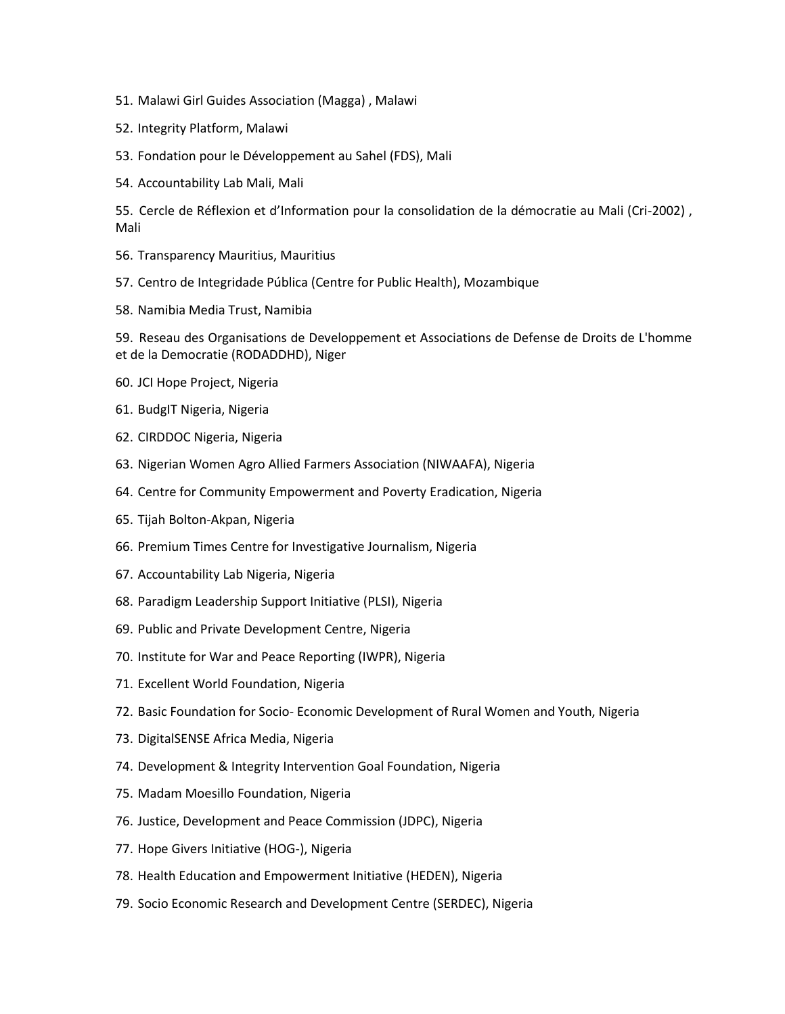- 51. Malawi Girl Guides Association (Magga) , Malawi
- 52. Integrity Platform, Malawi
- 53. Fondation pour le Développement au Sahel (FDS), Mali
- 54. Accountability Lab Mali, Mali

55. Cercle de Réflexion et d'Information pour la consolidation de la démocratie au Mali (Cri-2002) , Mali

- 56. Transparency Mauritius, Mauritius
- 57. Centro de Integridade Pública (Centre for Public Health), Mozambique
- 58. Namibia Media Trust, Namibia

59. Reseau des Organisations de Developpement et Associations de Defense de Droits de L'homme et de la Democratie (RODADDHD), Niger

- 60. JCI Hope Project, Nigeria
- 61. BudgIT Nigeria, Nigeria
- 62. CIRDDOC Nigeria, Nigeria
- 63. Nigerian Women Agro Allied Farmers Association (NIWAAFA), Nigeria
- 64. Centre for Community Empowerment and Poverty Eradication, Nigeria
- 65. Tijah Bolton-Akpan, Nigeria
- 66. Premium Times Centre for Investigative Journalism, Nigeria
- 67. Accountability Lab Nigeria, Nigeria
- 68. Paradigm Leadership Support Initiative (PLSI), Nigeria
- 69. Public and Private Development Centre, Nigeria
- 70. Institute for War and Peace Reporting (IWPR), Nigeria
- 71. Excellent World Foundation, Nigeria
- 72. Basic Foundation for Socio- Economic Development of Rural Women and Youth, Nigeria
- 73. DigitalSENSE Africa Media, Nigeria
- 74. Development & Integrity Intervention Goal Foundation, Nigeria
- 75. Madam Moesillo Foundation, Nigeria
- 76. Justice, Development and Peace Commission (JDPC), Nigeria
- 77. Hope Givers Initiative (HOG-), Nigeria
- 78. Health Education and Empowerment Initiative (HEDEN), Nigeria
- 79. Socio Economic Research and Development Centre (SERDEC), Nigeria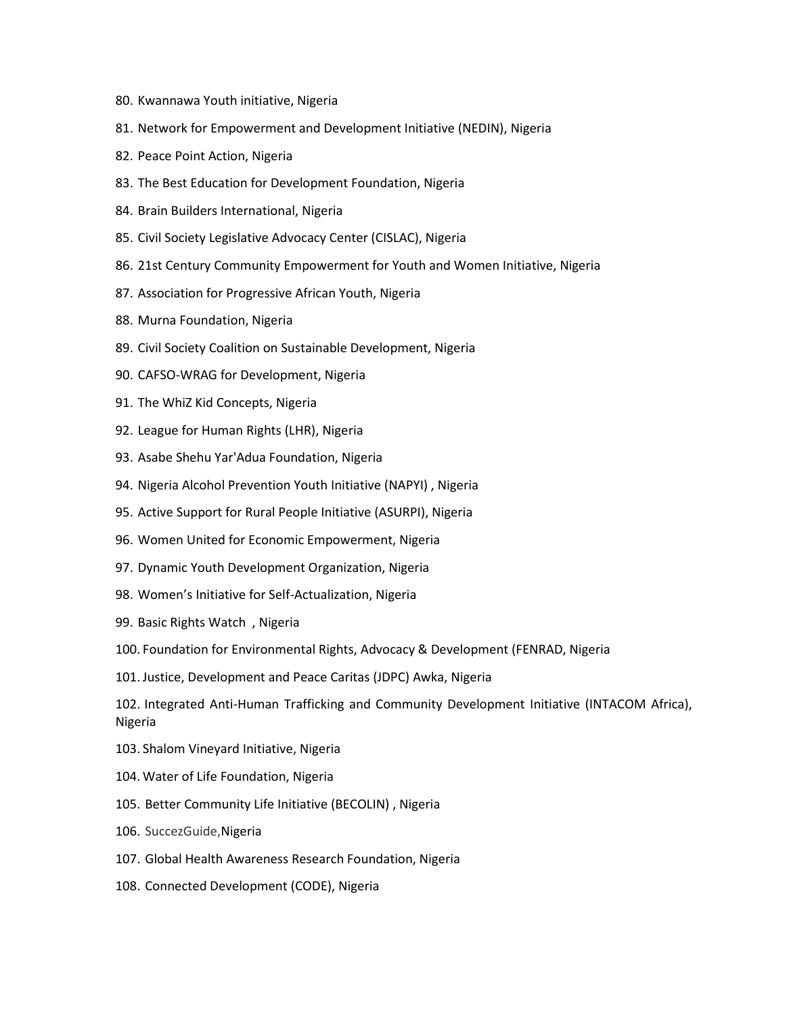- 80. Kwannawa Youth initiative, Nigeria
- 81. Network for Empowerment and Development Initiative (NEDIN), Nigeria
- 82. Peace Point Action, Nigeria
- 83. The Best Education for Development Foundation, Nigeria
- 84. Brain Builders International, Nigeria
- 85. Civil Society Legislative Advocacy Center (CISLAC), Nigeria
- 86. 21st Century Community Empowerment for Youth and Women Initiative, Nigeria
- 87. Association for Progressive African Youth, Nigeria
- 88. Murna Foundation, Nigeria
- 89. Civil Society Coalition on Sustainable Development, Nigeria
- 90. CAFSO-WRAG for Development, Nigeria
- 91. The WhiZ Kid Concepts, Nigeria
- 92. League for Human Rights (LHR), Nigeria
- 93. Asabe Shehu Yar'Adua Foundation, Nigeria
- 94. Nigeria Alcohol Prevention Youth Initiative (NAPYI) , Nigeria
- 95. Active Support for Rural People Initiative (ASURPI), Nigeria
- 96. Women United for Economic Empowerment, Nigeria
- 97. Dynamic Youth Development Organization, Nigeria
- 98. Women's Initiative for Self-Actualization, Nigeria
- 99. Basic Rights Watch , Nigeria
- 100. Foundation for Environmental Rights, Advocacy & Development (FENRAD, Nigeria
- 101. Justice, Development and Peace Caritas (JDPC) Awka, Nigeria

102. Integrated Anti-Human Trafficking and Community Development Initiative (INTACOM Africa), Nigeria

- 103. Shalom Vineyard Initiative, Nigeria
- 104. Water of Life Foundation, Nigeria
- 105. Better Community Life Initiative (BECOLIN) , Nigeria
- 106. SuccezGuide,Nigeria
- 107. Global Health Awareness Research Foundation, Nigeria
- 108. Connected Development (CODE), Nigeria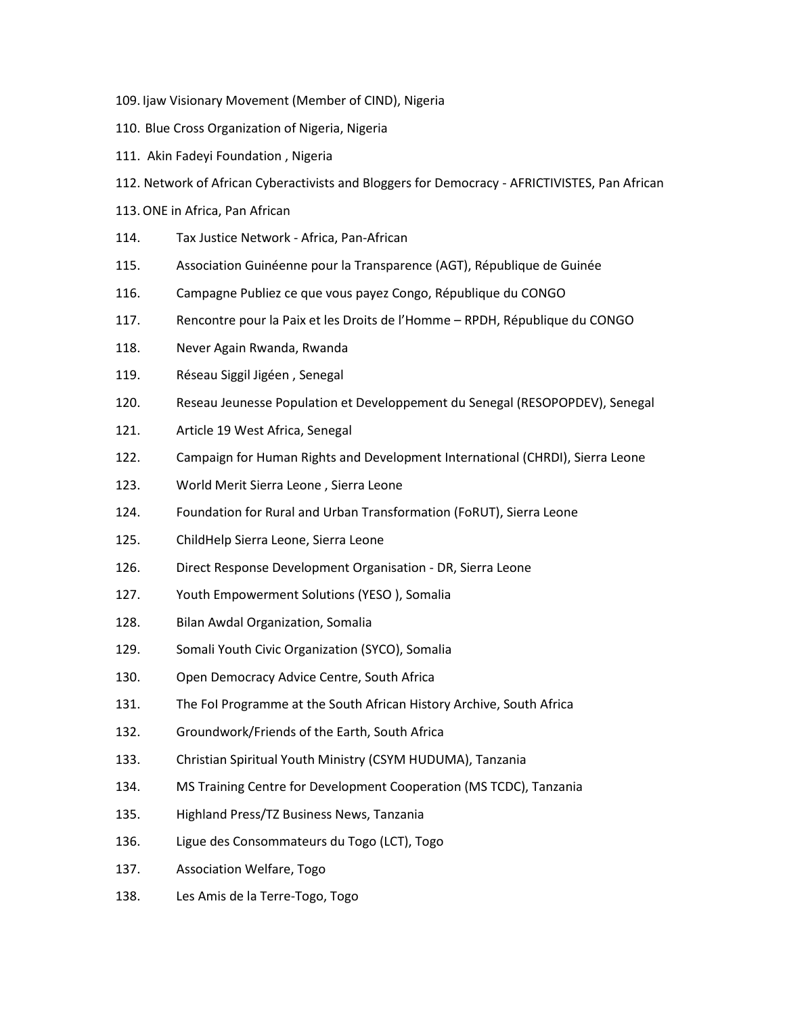- 109. Ijaw Visionary Movement (Member of CIND), Nigeria
- 110. Blue Cross Organization of Nigeria, Nigeria
- 111. Akin Fadeyi Foundation , Nigeria
- 112. Network of African Cyberactivists and Bloggers for Democracy AFRICTIVISTES, Pan African
- 113.ONE in Africa, Pan African
- 114. Tax Justice Network Africa, Pan-African
- 115. Association Guinéenne pour la Transparence (AGT), République de Guinée
- 116. Campagne Publiez ce que vous payez Congo, République du CONGO
- 117. Rencontre pour la Paix et les Droits de l'Homme RPDH, République du CONGO
- 118. Never Again Rwanda, Rwanda
- 119. Réseau Siggil Jigéen , Senegal
- 120. Reseau Jeunesse Population et Developpement du Senegal (RESOPOPDEV), Senegal
- 121. Article 19 West Africa, Senegal
- 122. Campaign for Human Rights and Development International (CHRDI), Sierra Leone
- 123. World Merit Sierra Leone , Sierra Leone
- 124. Foundation for Rural and Urban Transformation (FoRUT), Sierra Leone
- 125. ChildHelp Sierra Leone, Sierra Leone
- 126. Direct Response Development Organisation DR, Sierra Leone
- 127. Youth Empowerment Solutions (YESO ), Somalia
- 128. Bilan Awdal Organization, Somalia
- 129. Somali Youth Civic Organization (SYCO), Somalia
- 130. Open Democracy Advice Centre, South Africa
- 131. The FoI Programme at the South African History Archive, South Africa
- 132. Groundwork/Friends of the Earth, South Africa
- 133. Christian Spiritual Youth Ministry (CSYM HUDUMA), Tanzania
- 134. MS Training Centre for Development Cooperation (MS TCDC), Tanzania
- 135. Highland Press/TZ Business News, Tanzania
- 136. Ligue des Consommateurs du Togo (LCT), Togo
- 137. Association Welfare, Togo
- 138. Les Amis de la Terre-Togo, Togo